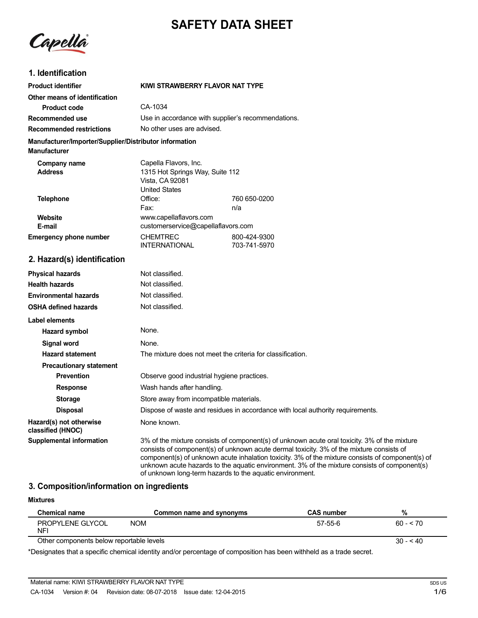# **SAFETY DATA SHEET**

Capella

## **1. Identification**

| <b>Product identifier</b>                                                     | KIWI STRAWBERRY FLAVOR NAT TYPE                                                                     |                              |
|-------------------------------------------------------------------------------|-----------------------------------------------------------------------------------------------------|------------------------------|
| Other means of identification                                                 |                                                                                                     |                              |
| Product code                                                                  | CA-1034                                                                                             |                              |
| Recommended use                                                               | Use in accordance with supplier's recommendations.                                                  |                              |
| <b>Recommended restrictions</b>                                               | No other uses are advised.                                                                          |                              |
| Manufacturer/Importer/Supplier/Distributor information<br><b>Manufacturer</b> |                                                                                                     |                              |
| Company name<br><b>Address</b>                                                | Capella Flavors, Inc.<br>1315 Hot Springs Way, Suite 112<br>Vista, CA 92081<br><b>United States</b> |                              |
| <b>Telephone</b>                                                              | Office:                                                                                             | 760 650-0200                 |
| Website<br>E-mail                                                             | Fax:<br>www.capellaflavors.com<br>customerservice@capellaflavors.com                                | n/a                          |
| <b>Emergency phone number</b>                                                 | <b>CHEMTREC</b><br><b>INTERNATIONAL</b>                                                             | 800-424-9300<br>703-741-5970 |
| 2. Hazard(s) identification                                                   |                                                                                                     |                              |
| <b>Physical hazards</b>                                                       | Not classified.                                                                                     |                              |
| <b>Health hazards</b>                                                         | Not classified.                                                                                     |                              |
| <b>Environmental hazards</b>                                                  | Not classified.                                                                                     |                              |
| <b>OSHA defined hazards</b>                                                   | Not classified.                                                                                     |                              |
|                                                                               |                                                                                                     |                              |

| OSHA UBIIIIBU IIAZAIUS                       | <u>INUL GRISSIIITU.</u>                                                                                                                                                                                                                                                                                                                                                                      |
|----------------------------------------------|----------------------------------------------------------------------------------------------------------------------------------------------------------------------------------------------------------------------------------------------------------------------------------------------------------------------------------------------------------------------------------------------|
| Label elements                               |                                                                                                                                                                                                                                                                                                                                                                                              |
| Hazard symbol                                | None.                                                                                                                                                                                                                                                                                                                                                                                        |
| Signal word                                  | None.                                                                                                                                                                                                                                                                                                                                                                                        |
| <b>Hazard statement</b>                      | The mixture does not meet the criteria for classification.                                                                                                                                                                                                                                                                                                                                   |
| <b>Precautionary statement</b>               |                                                                                                                                                                                                                                                                                                                                                                                              |
| <b>Prevention</b>                            | Observe good industrial hygiene practices.                                                                                                                                                                                                                                                                                                                                                   |
| <b>Response</b>                              | Wash hands after handling.                                                                                                                                                                                                                                                                                                                                                                   |
| <b>Storage</b>                               | Store away from incompatible materials.                                                                                                                                                                                                                                                                                                                                                      |
| <b>Disposal</b>                              | Dispose of waste and residues in accordance with local authority requirements.                                                                                                                                                                                                                                                                                                               |
| Hazard(s) not otherwise<br>classified (HNOC) | None known.                                                                                                                                                                                                                                                                                                                                                                                  |
| <b>Supplemental information</b>              | 3% of the mixture consists of component(s) of unknown acute oral toxicity. 3% of the mixture<br>consists of component(s) of unknown acute dermal toxicity. 3% of the mixture consists of<br>component(s) of unknown acute inhalation toxicity. 3% of the mixture consists of component(s) of<br>unknown acute hazards to the aquatic environment. 3% of the mixture consists of component(s) |

## **3. Composition/information on ingredients**

| <b>Mixtures</b>                          |                                                                                                                |                   |            |
|------------------------------------------|----------------------------------------------------------------------------------------------------------------|-------------------|------------|
| <b>Chemical name</b>                     | Common name and synonyms                                                                                       | <b>CAS number</b> | %          |
| PROPYLENE GLYCOL<br><b>NFI</b>           | <b>NOM</b>                                                                                                     | $57-55-6$         | $60 - 570$ |
| Other components below reportable levels |                                                                                                                |                   | $30 - 40$  |
|                                          | ∦Decharated that a correlle changed blenthern diagnoments of commedition has been collected as a that a consti |                   |            |

of unknown long-term hazards to the aquatic environment.

\*Designates that a specific chemical identity and/or percentage of composition has been withheld as a trade secret.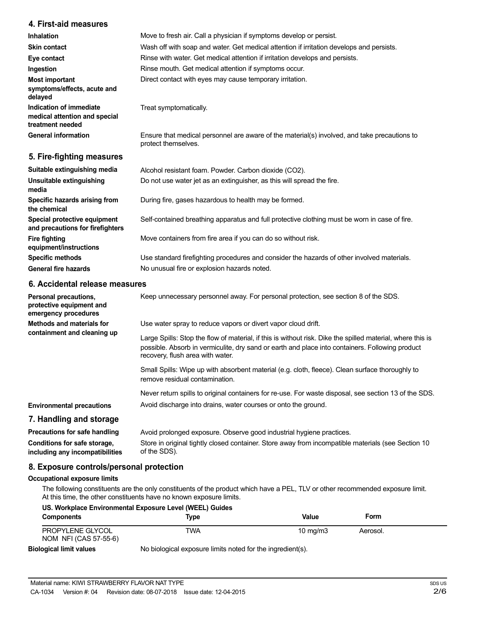## **4. First-aid measures**

| <b>Inhalation</b>                                                            | Move to fresh air. Call a physician if symptoms develop or persist.                                                 |
|------------------------------------------------------------------------------|---------------------------------------------------------------------------------------------------------------------|
| <b>Skin contact</b>                                                          | Wash off with soap and water. Get medical attention if irritation develops and persists.                            |
| Eye contact                                                                  | Rinse with water. Get medical attention if irritation develops and persists.                                        |
| Ingestion                                                                    | Rinse mouth. Get medical attention if symptoms occur.                                                               |
| Most important<br>symptoms/effects, acute and<br>delayed                     | Direct contact with eyes may cause temporary irritation.                                                            |
| Indication of immediate<br>medical attention and special<br>treatment needed | Treat symptomatically.                                                                                              |
| <b>General information</b>                                                   | Ensure that medical personnel are aware of the material(s) involved, and take precautions to<br>protect themselves. |
| 5. Fire-fighting measures                                                    |                                                                                                                     |

| Suitable extinguishing media                                     | Alcohol resistant foam. Powder. Carbon dioxide (CO2).                                         |
|------------------------------------------------------------------|-----------------------------------------------------------------------------------------------|
| Unsuitable extinguishing<br>media                                | Do not use water jet as an extinguisher, as this will spread the fire.                        |
| Specific hazards arising from<br>the chemical                    | During fire, gases hazardous to health may be formed.                                         |
| Special protective equipment<br>and precautions for firefighters | Self-contained breathing apparatus and full protective clothing must be worn in case of fire. |
| <b>Fire fighting</b><br>equipment/instructions                   | Move containers from fire area if you can do so without risk.                                 |
| <b>Specific methods</b>                                          | Use standard firefighting procedures and consider the hazards of other involved materials.    |
| <b>General fire hazards</b>                                      | No unusual fire or explosion hazards noted.                                                   |
|                                                                  |                                                                                               |

## **6. Accidental release measures**

| Personal precautions,<br>protective equipment and<br>emergency procedures | Keep unnecessary personnel away. For personal protection, see section 8 of the SDS.                                                                                                                                                               |
|---------------------------------------------------------------------------|---------------------------------------------------------------------------------------------------------------------------------------------------------------------------------------------------------------------------------------------------|
| Methods and materials for                                                 | Use water spray to reduce vapors or divert vapor cloud drift.                                                                                                                                                                                     |
| containment and cleaning up                                               | Large Spills: Stop the flow of material, if this is without risk. Dike the spilled material, where this is<br>possible. Absorb in vermiculite, dry sand or earth and place into containers. Following product<br>recovery, flush area with water. |
|                                                                           | Small Spills: Wipe up with absorbent material (e.g. cloth, fleece). Clean surface thoroughly to<br>remove residual contamination.                                                                                                                 |
|                                                                           | Never return spills to original containers for re-use. For waste disposal, see section 13 of the SDS.                                                                                                                                             |
| <b>Environmental precautions</b>                                          | Avoid discharge into drains, water courses or onto the ground.                                                                                                                                                                                    |
| 7. Handling and storage                                                   |                                                                                                                                                                                                                                                   |
| Precautions for safe handling                                             | Avoid prolonged exposure. Observe good industrial hygiene practices.                                                                                                                                                                              |
| Conditions for safe storage,<br>including any incompatibilities           | Store in original tightly closed container. Store away from incompatible materials (see Section 10<br>of the SDS).                                                                                                                                |

## **8. Exposure controls/personal protection**

### **Occupational exposure limits**

The following constituents are the only constituents of the product which have a PEL, TLV or other recommended exposure limit. At this time, the other constituents have no known exposure limits.

|                                           | US. Workplace Environmental Exposure Level (WEEL) Guides   |                     |          |  |
|-------------------------------------------|------------------------------------------------------------|---------------------|----------|--|
| <b>Components</b>                         | Type                                                       | Value               | Form     |  |
| PROPYLENE GLYCOL<br>NOM NFI (CAS 57-55-6) | TWA                                                        | $10 \text{ ma/m}$ 3 | Aerosol. |  |
| <b>Biological limit values</b>            | No biological exposure limits noted for the ingredient(s). |                     |          |  |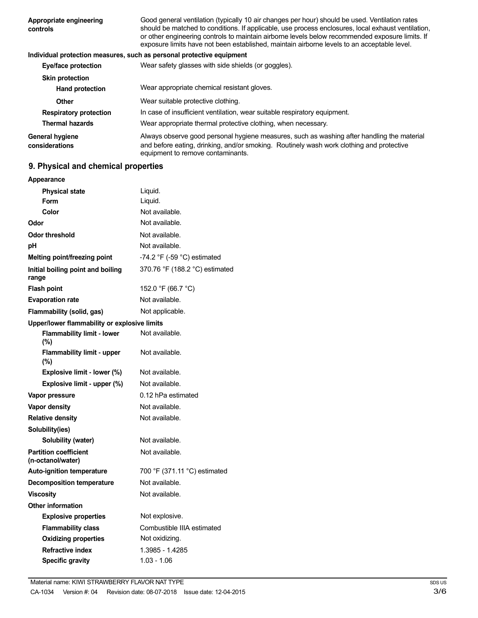| Appropriate engineering<br>controls      | Good general ventilation (typically 10 air changes per hour) should be used. Ventilation rates<br>should be matched to conditions. If applicable, use process enclosures, local exhaust ventilation,<br>or other engineering controls to maintain airborne levels below recommended exposure limits. If<br>exposure limits have not been established, maintain airborne levels to an acceptable level. |
|------------------------------------------|--------------------------------------------------------------------------------------------------------------------------------------------------------------------------------------------------------------------------------------------------------------------------------------------------------------------------------------------------------------------------------------------------------|
|                                          | Individual protection measures, such as personal protective equipment                                                                                                                                                                                                                                                                                                                                  |
| <b>Eye/face protection</b>               | Wear safety glasses with side shields (or goggles).                                                                                                                                                                                                                                                                                                                                                    |
| <b>Skin protection</b>                   |                                                                                                                                                                                                                                                                                                                                                                                                        |
| <b>Hand protection</b>                   | Wear appropriate chemical resistant gloves.                                                                                                                                                                                                                                                                                                                                                            |
| Other                                    | Wear suitable protective clothing.                                                                                                                                                                                                                                                                                                                                                                     |
| <b>Respiratory protection</b>            | In case of insufficient ventilation, wear suitable respiratory equipment.                                                                                                                                                                                                                                                                                                                              |
| <b>Thermal hazards</b>                   | Wear appropriate thermal protective clothing, when necessary.                                                                                                                                                                                                                                                                                                                                          |
| <b>General hygiene</b><br>considerations | Always observe good personal hygiene measures, such as washing after handling the material<br>and before eating, drinking, and/or smoking. Routinely wash work clothing and protective<br>equipment to remove contaminants.                                                                                                                                                                            |

## **9. Physical and chemical properties**

| Appearance                                        |                                |
|---------------------------------------------------|--------------------------------|
| <b>Physical state</b>                             | Liquid.                        |
| <b>Form</b>                                       | Liquid.                        |
| Color                                             | Not available.                 |
| Odor                                              | Not available.                 |
| <b>Odor threshold</b>                             | Not available.                 |
| рH                                                | Not available.                 |
| Melting point/freezing point                      | -74.2 °F (-59 °C) estimated    |
| Initial boiling point and boiling<br>range        | 370.76 °F (188.2 °C) estimated |
| <b>Flash point</b>                                | 152.0 °F (66.7 °C)             |
| <b>Evaporation rate</b>                           | Not available.                 |
| Flammability (solid, gas)                         | Not applicable.                |
| Upper/lower flammability or explosive limits      |                                |
| <b>Flammability limit - lower</b><br>$(\% )$      | Not available.                 |
| <b>Flammability limit - upper</b><br>(%)          | Not available.                 |
| Explosive limit - lower (%)                       | Not available.                 |
| Explosive limit - upper (%)                       | Not available.                 |
| Vapor pressure                                    | 0.12 hPa estimated             |
| Vapor density                                     | Not available.                 |
| <b>Relative density</b>                           | Not available.                 |
| Solubility(ies)                                   |                                |
| Solubility (water)                                | Not available.                 |
| <b>Partition coefficient</b><br>(n-octanol/water) | Not available.                 |
| <b>Auto-ignition temperature</b>                  | 700 °F (371.11 °C) estimated   |
| <b>Decomposition temperature</b>                  | Not available.                 |
| <b>Viscosity</b>                                  | Not available.                 |
| <b>Other information</b>                          |                                |
| <b>Explosive properties</b>                       | Not explosive.                 |
| <b>Flammability class</b>                         | Combustible IIIA estimated     |
| <b>Oxidizing properties</b>                       | Not oxidizing.                 |
| <b>Refractive index</b>                           | 1.3985 - 1.4285                |
| <b>Specific gravity</b>                           | $1.03 - 1.06$                  |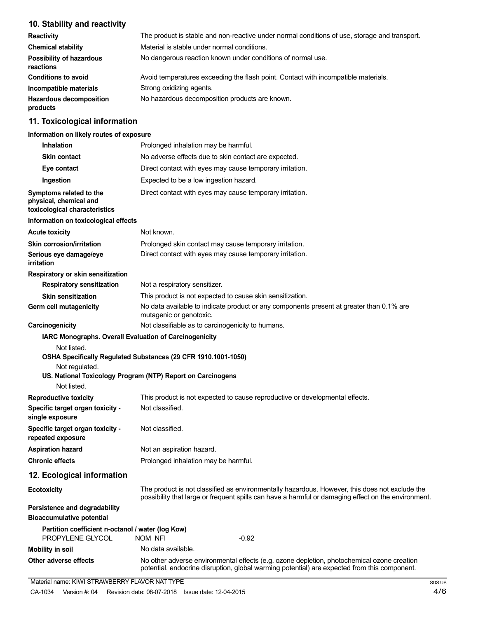## **10. Stability and reactivity**

| <b>Reactivity</b>                            | The product is stable and non-reactive under normal conditions of use, storage and transport. |
|----------------------------------------------|-----------------------------------------------------------------------------------------------|
| <b>Chemical stability</b>                    | Material is stable under normal conditions.                                                   |
| <b>Possibility of hazardous</b><br>reactions | No dangerous reaction known under conditions of normal use.                                   |
| <b>Conditions to avoid</b>                   | Avoid temperatures exceeding the flash point. Contact with incompatible materials.            |
| Incompatible materials                       | Strong oxidizing agents.                                                                      |
| <b>Hazardous decomposition</b><br>products   | No hazardous decomposition products are known.                                                |

## **11. Toxicological information**

### **Information on likely routes of exposure**

| <b>Inhalation</b>                                                                   | Prolonged inhalation may be harmful.                                                                                                                                                                  |  |
|-------------------------------------------------------------------------------------|-------------------------------------------------------------------------------------------------------------------------------------------------------------------------------------------------------|--|
| <b>Skin contact</b>                                                                 | No adverse effects due to skin contact are expected.                                                                                                                                                  |  |
| Eye contact                                                                         | Direct contact with eyes may cause temporary irritation.                                                                                                                                              |  |
| Ingestion                                                                           | Expected to be a low ingestion hazard.                                                                                                                                                                |  |
| Symptoms related to the<br>physical, chemical and<br>toxicological characteristics  | Direct contact with eyes may cause temporary irritation.                                                                                                                                              |  |
| Information on toxicological effects                                                |                                                                                                                                                                                                       |  |
| <b>Acute toxicity</b>                                                               | Not known.                                                                                                                                                                                            |  |
| <b>Skin corrosion/irritation</b>                                                    | Prolonged skin contact may cause temporary irritation.                                                                                                                                                |  |
| Serious eye damage/eye<br>irritation                                                | Direct contact with eyes may cause temporary irritation.                                                                                                                                              |  |
| Respiratory or skin sensitization                                                   |                                                                                                                                                                                                       |  |
| <b>Respiratory sensitization</b>                                                    | Not a respiratory sensitizer.                                                                                                                                                                         |  |
| <b>Skin sensitization</b>                                                           | This product is not expected to cause skin sensitization.                                                                                                                                             |  |
| Germ cell mutagenicity                                                              | No data available to indicate product or any components present at greater than 0.1% are<br>mutagenic or genotoxic.                                                                                   |  |
| Carcinogenicity                                                                     | Not classifiable as to carcinogenicity to humans.                                                                                                                                                     |  |
| Not listed.<br>Not regulated.<br>Not listed.                                        | OSHA Specifically Regulated Substances (29 CFR 1910.1001-1050)<br>US. National Toxicology Program (NTP) Report on Carcinogens                                                                         |  |
| <b>Reproductive toxicity</b><br>Specific target organ toxicity -<br>single exposure | This product is not expected to cause reproductive or developmental effects.<br>Not classified.                                                                                                       |  |
| Specific target organ toxicity -<br>repeated exposure                               | Not classified.                                                                                                                                                                                       |  |
| <b>Aspiration hazard</b>                                                            | Not an aspiration hazard.                                                                                                                                                                             |  |
| <b>Chronic effects</b>                                                              | Prolonged inhalation may be harmful.                                                                                                                                                                  |  |
| 12. Ecological information                                                          |                                                                                                                                                                                                       |  |
| <b>Ecotoxicity</b>                                                                  | The product is not classified as environmentally hazardous. However, this does not exclude the<br>possibility that large or frequent spills can have a harmful or damaging effect on the environment. |  |
| Persistence and degradability<br><b>Bioaccumulative potential</b>                   |                                                                                                                                                                                                       |  |
| Partition coefficient n-octanol / water (log Kow)<br>PROPYLENE GLYCOL               | <b>NOM NFI</b><br>$-0.92$                                                                                                                                                                             |  |
| <b>Mobility in soil</b>                                                             | No data available.                                                                                                                                                                                    |  |
| Other adverse effects                                                               | No other adverse environmental effects (e.g. ozone depletion, photochemical ozone creation<br>potential, endocrine disruption, global warming potential) are expected from this component.            |  |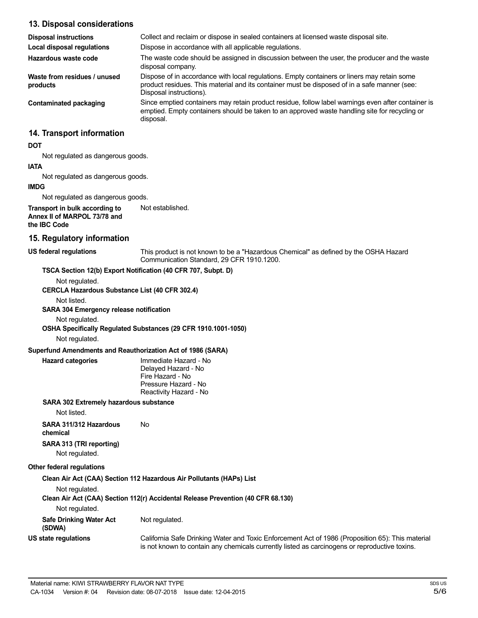## **13. Disposal considerations**

| <b>Disposal instructions</b>             | Collect and reclaim or dispose in sealed containers at licensed waste disposal site.                                                                                                                                   |
|------------------------------------------|------------------------------------------------------------------------------------------------------------------------------------------------------------------------------------------------------------------------|
| Local disposal regulations               | Dispose in accordance with all applicable regulations.                                                                                                                                                                 |
| Hazardous waste code                     | The waste code should be assigned in discussion between the user, the producer and the waste<br>disposal company.                                                                                                      |
| Waste from residues / unused<br>products | Dispose of in accordance with local regulations. Empty containers or liners may retain some<br>product residues. This material and its container must be disposed of in a safe manner (see:<br>Disposal instructions). |
| Contaminated packaging                   | Since emptied containers may retain product residue, follow label warnings even after container is<br>emptied. Empty containers should be taken to an approved waste handling site for recycling or<br>disposal.       |
| 14. Transport information                |                                                                                                                                                                                                                        |
| <b>DOT</b>                               |                                                                                                                                                                                                                        |

Not regulated as dangerous goods.

#### **IATA**

Not regulated as dangerous goods.

### **IMDG**

Not regulated as dangerous goods.

**Transport in bulk according to Annex II of MARPOL 73/78 and the IBC Code** Not established.

#### **15. Regulatory information**

**US federal regulations** This product is not known to be a "Hazardous Chemical" as defined by the OSHA Hazard Communication Standard, 29 CFR 1910.1200.

### **TSCA Section 12(b) Export Notification (40 CFR 707, Subpt. D)**

Not regulated.

**CERCLA Hazardous Substance List (40 CFR 302.4)**

Not listed.

### **SARA 304 Emergency release notification**

Not regulated.

**OSHA Specifically Regulated Substances (29 CFR 1910.1001-1050)**

Not regulated.

#### **Superfund Amendments and Reauthorization Act of 1986 (SARA)**

| Hazard categories |  |
|-------------------|--|

**Hazard categories** Immediate Hazard - No Delayed Hazard - No Fire Hazard - No Pressure Hazard - No Reactivity Hazard - No

### **SARA 302 Extremely hazardous substance**

Not listed.

**SARA 311/312 Hazardous** No **chemical**

## **SARA 313 (TRI reporting)**

Not regulated.

## **Other federal regulations**

**Clean Air Act (CAA) Section 112 Hazardous Air Pollutants (HAPs) List**

Not regulated.

## **Clean Air Act (CAA) Section 112(r) Accidental Release Prevention (40 CFR 68.130)**

Not regulated.

| .                                        |                                                                                                                                                                                                   |
|------------------------------------------|---------------------------------------------------------------------------------------------------------------------------------------------------------------------------------------------------|
| <b>Safe Drinking Water Act</b><br>(SDWA) | Not regulated.                                                                                                                                                                                    |
| US state regulations                     | California Safe Drinking Water and Toxic Enforcement Act of 1986 (Proposition 65): This material<br>is not known to contain any chemicals currently listed as carcinogens or reproductive toxins. |